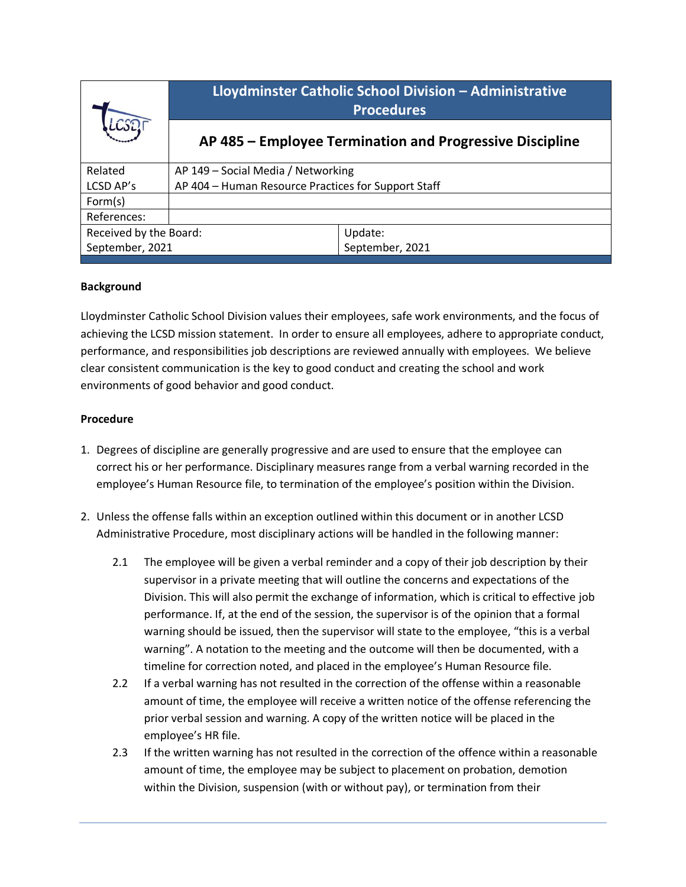| LCSO                   | Lloydminster Catholic School Division - Administrative<br><b>Procedures</b> |                                                          |
|------------------------|-----------------------------------------------------------------------------|----------------------------------------------------------|
|                        |                                                                             | AP 485 – Employee Termination and Progressive Discipline |
| Related                | AP 149 - Social Media / Networking                                          |                                                          |
| LCSD AP's              | AP 404 - Human Resource Practices for Support Staff                         |                                                          |
| Form(s)                |                                                                             |                                                          |
| References:            |                                                                             |                                                          |
| Received by the Board: |                                                                             | Update:                                                  |
| September, 2021        |                                                                             | September, 2021                                          |
|                        |                                                                             |                                                          |

## **Background**

Lloydminster Catholic School Division values their employees, safe work environments, and the focus of achieving the LCSD mission statement. In order to ensure all employees, adhere to appropriate conduct, performance, and responsibilities job descriptions are reviewed annually with employees. We believe clear consistent communication is the key to good conduct and creating the school and work environments of good behavior and good conduct.

## **Procedure**

- 1. Degrees of discipline are generally progressive and are used to ensure that the employee can correct his or her performance. Disciplinary measures range from a verbal warning recorded in the employee's Human Resource file, to termination of the employee's position within the Division.
- 2. Unless the offense falls within an exception outlined within this document or in another LCSD Administrative Procedure, most disciplinary actions will be handled in the following manner:
	- 2.1 The employee will be given a verbal reminder and a copy of their job description by their supervisor in a private meeting that will outline the concerns and expectations of the Division. This will also permit the exchange of information, which is critical to effective job performance. If, at the end of the session, the supervisor is of the opinion that a formal warning should be issued, then the supervisor will state to the employee, "this is a verbal warning". A notation to the meeting and the outcome will then be documented, with a timeline for correction noted, and placed in the employee's Human Resource file.
	- 2.2 If a verbal warning has not resulted in the correction of the offense within a reasonable amount of time, the employee will receive a written notice of the offense referencing the prior verbal session and warning. A copy of the written notice will be placed in the employee's HR file.
	- 2.3 If the written warning has not resulted in the correction of the offence within a reasonable amount of time, the employee may be subject to placement on probation, demotion within the Division, suspension (with or without pay), or termination from their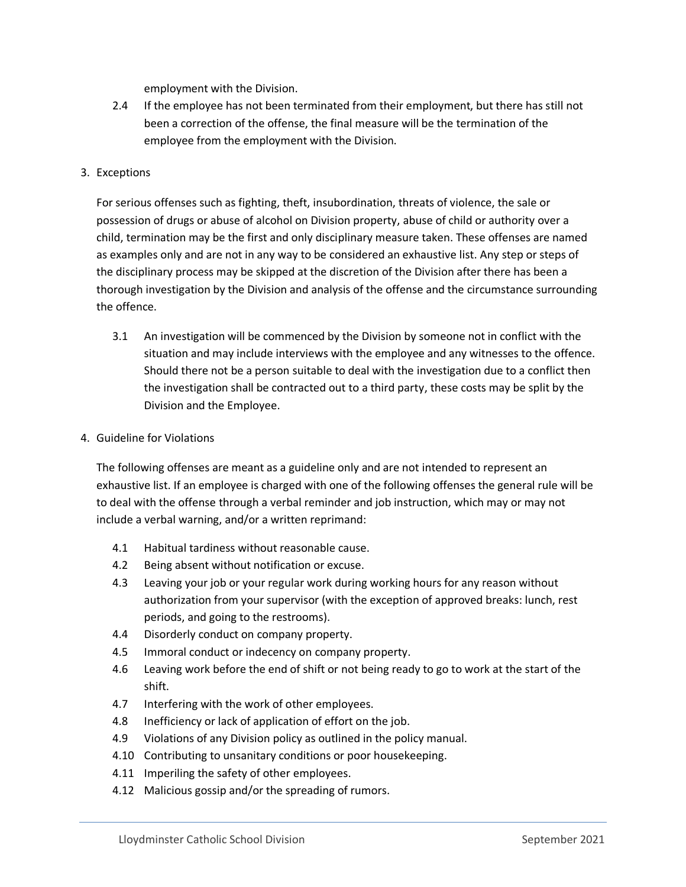employment with the Division.

- 2.4 If the employee has not been terminated from their employment, but there has still not been a correction of the offense, the final measure will be the termination of the employee from the employment with the Division.
- 3. Exceptions

For serious offenses such as fighting, theft, insubordination, threats of violence, the sale or possession of drugs or abuse of alcohol on Division property, abuse of child or authority over a child, termination may be the first and only disciplinary measure taken. These offenses are named as examples only and are not in any way to be considered an exhaustive list. Any step or steps of the disciplinary process may be skipped at the discretion of the Division after there has been a thorough investigation by the Division and analysis of the offense and the circumstance surrounding the offence.

- 3.1 An investigation will be commenced by the Division by someone not in conflict with the situation and may include interviews with the employee and any witnesses to the offence. Should there not be a person suitable to deal with the investigation due to a conflict then the investigation shall be contracted out to a third party, these costs may be split by the Division and the Employee.
- 4. Guideline for Violations

The following offenses are meant as a guideline only and are not intended to represent an exhaustive list. If an employee is charged with one of the following offenses the general rule will be to deal with the offense through a verbal reminder and job instruction, which may or may not include a verbal warning, and/or a written reprimand:

- 4.1 Habitual tardiness without reasonable cause.
- 4.2 Being absent without notification or excuse.
- 4.3 Leaving your job or your regular work during working hours for any reason without authorization from your supervisor (with the exception of approved breaks: lunch, rest periods, and going to the restrooms).
- 4.4 Disorderly conduct on company property.
- 4.5 Immoral conduct or indecency on company property.
- 4.6 Leaving work before the end of shift or not being ready to go to work at the start of the shift.
- 4.7 Interfering with the work of other employees.
- 4.8 Inefficiency or lack of application of effort on the job.
- 4.9 Violations of any Division policy as outlined in the policy manual.
- 4.10 Contributing to unsanitary conditions or poor housekeeping.
- 4.11 Imperiling the safety of other employees.
- 4.12 Malicious gossip and/or the spreading of rumors.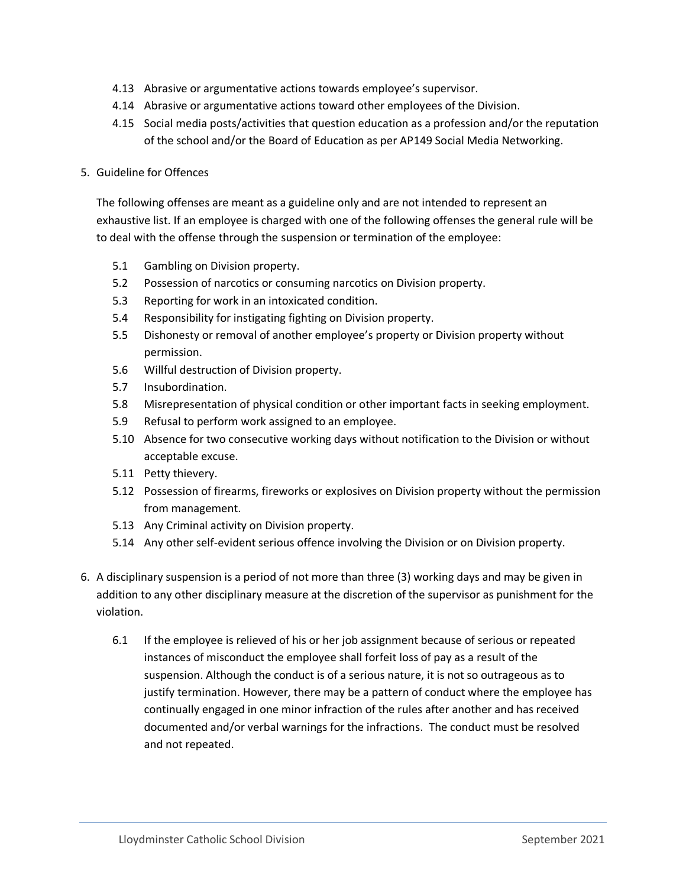- 4.13 Abrasive or argumentative actions towards employee's supervisor.
- 4.14 Abrasive or argumentative actions toward other employees of the Division.
- 4.15 Social media posts/activities that question education as a profession and/or the reputation of the school and/or the Board of Education as per AP149 Social Media Networking.

## 5. Guideline for Offences

The following offenses are meant as a guideline only and are not intended to represent an exhaustive list. If an employee is charged with one of the following offenses the general rule will be to deal with the offense through the suspension or termination of the employee:

- 5.1 Gambling on Division property.
- 5.2 Possession of narcotics or consuming narcotics on Division property.
- 5.3 Reporting for work in an intoxicated condition.
- 5.4 Responsibility for instigating fighting on Division property.
- 5.5 Dishonesty or removal of another employee's property or Division property without permission.
- 5.6 Willful destruction of Division property.
- 5.7 Insubordination.
- 5.8 Misrepresentation of physical condition or other important facts in seeking employment.
- 5.9 Refusal to perform work assigned to an employee.
- 5.10 Absence for two consecutive working days without notification to the Division or without acceptable excuse.
- 5.11 Petty thievery.
- 5.12 Possession of firearms, fireworks or explosives on Division property without the permission from management.
- 5.13 Any Criminal activity on Division property.
- 5.14 Any other self-evident serious offence involving the Division or on Division property.
- 6. A disciplinary suspension is a period of not more than three (3) working days and may be given in addition to any other disciplinary measure at the discretion of the supervisor as punishment for the violation.
	- 6.1 If the employee is relieved of his or her job assignment because of serious or repeated instances of misconduct the employee shall forfeit loss of pay as a result of the suspension. Although the conduct is of a serious nature, it is not so outrageous as to justify termination. However, there may be a pattern of conduct where the employee has continually engaged in one minor infraction of the rules after another and has received documented and/or verbal warnings for the infractions. The conduct must be resolved and not repeated.